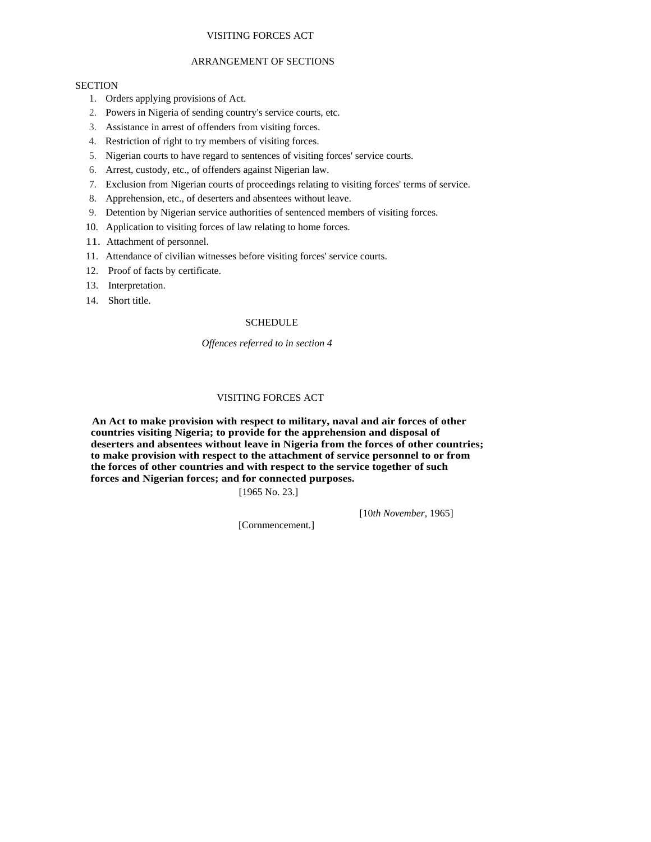## VISITING FORCES ACT

### ARRANGEMENT OF SECTIONS

### **SECTION**

- 1. Orders applying provisions of Act.
- 2. Powers in Nigeria of sending country's service courts, etc.
- 3. Assistance in arrest of offenders from visiting forces.
- 4. Restriction of right to try members of visiting forces.
- 5. Nigerian courts to have regard to sentences of visiting forces' service courts.
- 6. Arrest, custody, etc., of offenders against Nigerian law.
- 7. Exclusion from Nigerian courts of proceedings relating to visiting forces' terms of service.
- 8. Apprehension, etc., of deserters and absentees without leave.
- 9. Detention by Nigerian service authorities of sentenced members of visiting forces.
- 10. Application to visiting forces of law relating to home forces.
- 11. Attachment of personnel.
- 11. Attendance of civilian witnesses before visiting forces' service courts.
- 12. Proof of facts by certificate.
- 13. Interpretation.
- 14. Short title.

#### **SCHEDULE**

#### *Offences referred to in section 4*

# VISITING FORCES ACT

 **An Act to make provision with respect to military, naval and air forces of other countries visiting Nigeria; to provide for the apprehension and disposal of deserters and absentees without leave in Nigeria from the forces of other countries; to make provision with respect to the attachment of service personnel to or from the forces of other countries and with respect to the service together of such forces and Nigerian forces; and for connected purposes.** 

[1965 No. 23.]

[10*th November,* 1965]

[Cornmencement.]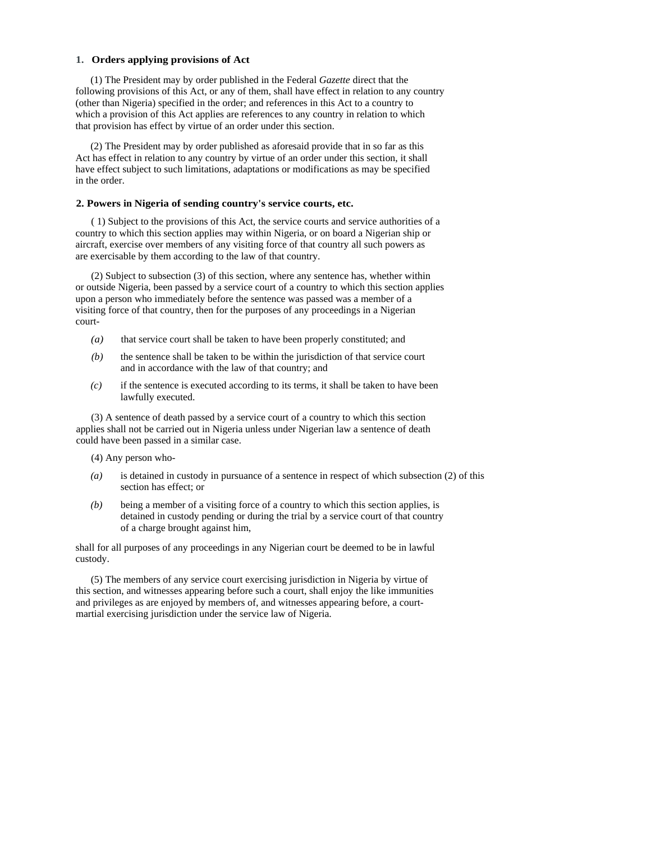### **1. Orders applying provisions of Act**

(1) The President may by order published in the Federal *Gazette* direct that the following provisions of this Act, or any of them, shall have effect in relation to any country (other than Nigeria) specified in the order; and references in this Act to a country to which a provision of this Act applies are references to any country in relation to which that provision has effect by virtue of an order under this section.

(2) The President may by order published as aforesaid provide that in so far as this Act has effect in relation to any country by virtue of an order under this section, it shall have effect subject to such limitations, adaptations or modifications as may be specified in the order.

### **2. Powers in Nigeria of sending country's service courts, etc.**

( 1) Subject to the provisions of this Act, the service courts and service authorities of a country to which this section applies may within Nigeria, or on board a Nigerian ship or aircraft, exercise over members of any visiting force of that country all such powers as are exercisable by them according to the law of that country.

(2) Subject to subsection (3) of this section, where any sentence has, whether within or outside Nigeria, been passed by a service court of a country to which this section applies upon a person who immediately before the sentence was passed was a member of a visiting force of that country, then for the purposes of any proceedings in a Nigerian court-

- *(a)* that service court shall be taken to have been properly constituted; and
- *(b)* the sentence shall be taken to be within the jurisdiction of that service court and in accordance with the law of that country; and
- *(c)* if the sentence is executed according to its terms, it shall be taken to have been lawfully executed.

(3) A sentence of death passed by a service court of a country to which this section applies shall not be carried out in Nigeria unless under Nigerian law a sentence of death could have been passed in a similar case.

(4) Any person who-

- *(a)* is detained in custody in pursuance of a sentence in respect of which subsection (2) of this section has effect; or
- *(b)* being a member of a visiting force of a country to which this section applies, is detained in custody pending or during the trial by a service court of that country of a charge brought against him,

shall for all purposes of any proceedings in any Nigerian court be deemed to be in lawful custody.

(5) The members of any service court exercising jurisdiction in Nigeria by virtue of this section, and witnesses appearing before such a court, shall enjoy the like immunities and privileges as are enjoyed by members of, and witnesses appearing before, a courtmartial exercising jurisdiction under the service law of Nigeria.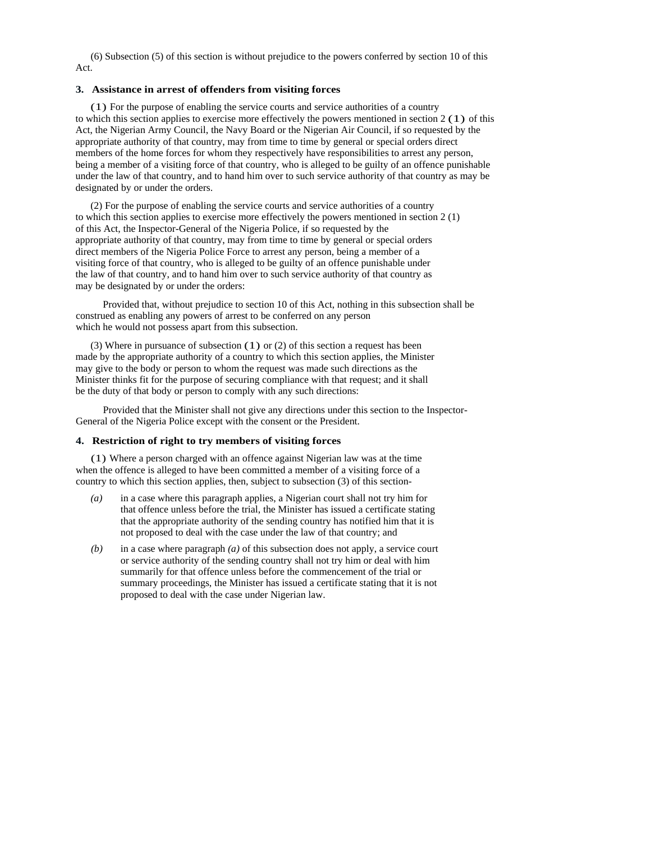(6) Subsection (5) of this section is without prejudice to the powers conferred by section 10 of this Act.

### **3. Assistance in arrest of offenders from visiting forces**

(1) For the purpose of enabling the service courts and service authorities of a country to which this section applies to exercise more effectively the powers mentioned in section  $2(1)$  of this Act, the Nigerian Army Council, the Navy Board or the Nigerian Air Council, if so requested by the appropriate authority of that country, may from time to time by general or special orders direct members of the home forces for whom they respectively have responsibilities to arrest any person, being a member of a visiting force of that country, who is alleged to be guilty of an offence punishable under the law of that country, and to hand him over to such service authority of that country as may be designated by or under the orders.

(2) For the purpose of enabling the service courts and service authorities of a country to which this section applies to exercise more effectively the powers mentioned in section 2 (1) of this Act, the Inspector-General of the Nigeria Police, if so requested by the appropriate authority of that country, may from time to time by general or special orders direct members of the Nigeria Police Force to arrest any person, being a member of a visiting force of that country, who is alleged to be guilty of an offence punishable under the law of that country, and to hand him over to such service authority of that country as may be designated by or under the orders:

Provided that, without prejudice to section 10 of this Act, nothing in this subsection shall be construed as enabling any powers of arrest to be conferred on any person which he would not possess apart from this subsection.

(3) Where in pursuance of subsection (1) or (2) of this section a request has been made by the appropriate authority of a country to which this section applies, the Minister may give to the body or person to whom the request was made such directions as the Minister thinks fit for the purpose of securing compliance with that request; and it shall be the duty of that body or person to comply with any such directions:

Provided that the Minister shall not give any directions under this section to the Inspector-General of the Nigeria Police except with the consent or the President.

### **4. Restriction of right to try members of visiting forces**

(1) Where a person charged with an offence against Nigerian law was at the time when the offence is alleged to have been committed a member of a visiting force of a country to which this section applies, then, subject to subsection (3) of this section-

- *(a)* in a case where this paragraph applies, a Nigerian court shall not try him for that offence unless before the trial, the Minister has issued a certificate stating that the appropriate authority of the sending country has notified him that it is not proposed to deal with the case under the law of that country; and
- *(b)* in a case where paragraph *(a)* of this subsection does not apply, a service court or service authority of the sending country shall not try him or deal with him summarily for that offence unless before the commencement of the trial or summary proceedings, the Minister has issued a certificate stating that it is not proposed to deal with the case under Nigerian law.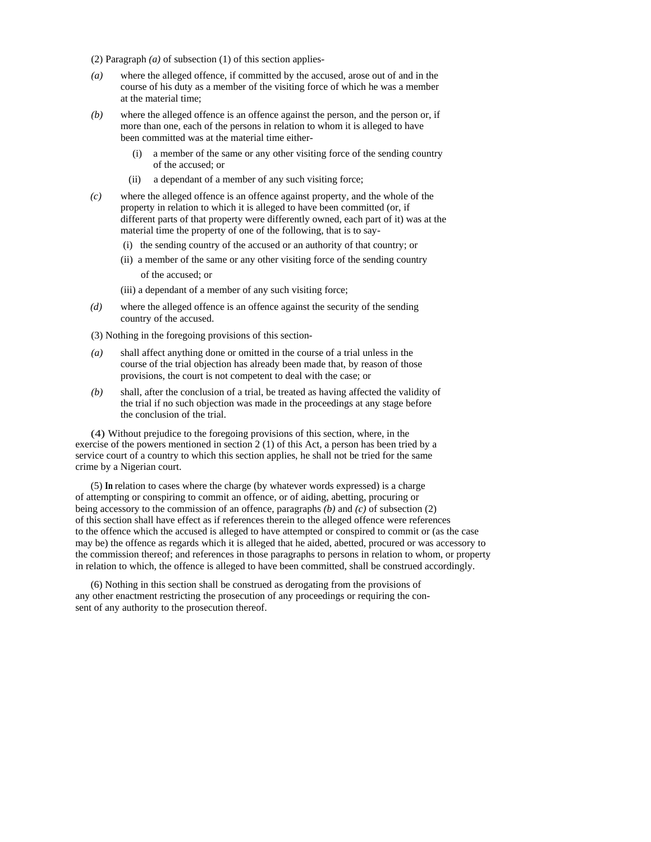- (2) Paragraph *(a)* of subsection (1) of this section applies-
- *(a)* where the alleged offence, if committed by the accused, arose out of and in the course of his duty as a member of the visiting force of which he was a member at the material time;
- *(b)* where the alleged offence is an offence against the person, and the person or, if more than one, each of the persons in relation to whom it is alleged to have been committed was at the material time either-
	- (i) a member of the same or any other visiting force of the sending country of the accused; or
	- (ii) a dependant of a member of any such visiting force;
- *(c)* where the alleged offence is an offence against property, and the whole of the property in relation to which it is alleged to have been committed (or, if different parts of that property were differently owned, each part of it) was at the material time the property of one of the following, that is to say-
	- (i) the sending country of the accused or an authority of that country; or
	- (ii) a member of the same or any other visiting force of the sending country of the accused; or
	- (iii) a dependant of a member of any such visiting force;
- *(d)* where the alleged offence is an offence against the security of the sending country of the accused.
- (3) Nothing in the foregoing provisions of this section-
- *(a)* shall affect anything done or omitted in the course of a trial unless in the course of the trial objection has already been made that, by reason of those provisions, the court is not competent to deal with the case; or
- *(b)* shall, after the conclusion of a trial, be treated as having affected the validity of the trial if no such objection was made in the proceedings at any stage before the conclusion of the trial.

(4) Without prejudice to the foregoing provisions of this section, where, in the exercise of the powers mentioned in section 2 (1) of this Act, a person has been tried by a service court of a country to which this section applies, he shall not be tried for the same crime by a Nigerian court.

(5) **In** relation to cases where the charge (by whatever words expressed) is a charge of attempting or conspiring to commit an offence, or of aiding, abetting, procuring or being accessory to the commission of an offence, paragraphs *(b)* and *(c)* of subsection (2) of this section shall have effect as if references therein to the alleged offence were references to the offence which the accused is alleged to have attempted or conspired to commit or (as the case may be) the offence as regards which it is alleged that he aided, abetted, procured or was accessory to the commission thereof; and references in those paragraphs to persons in relation to whom, or property in relation to which, the offence is alleged to have been committed, shall be construed accordingly.

(6) Nothing in this section shall be construed as derogating from the provisions of any other enactment restricting the prosecution of any proceedings or requiring the consent of any authority to the prosecution thereof.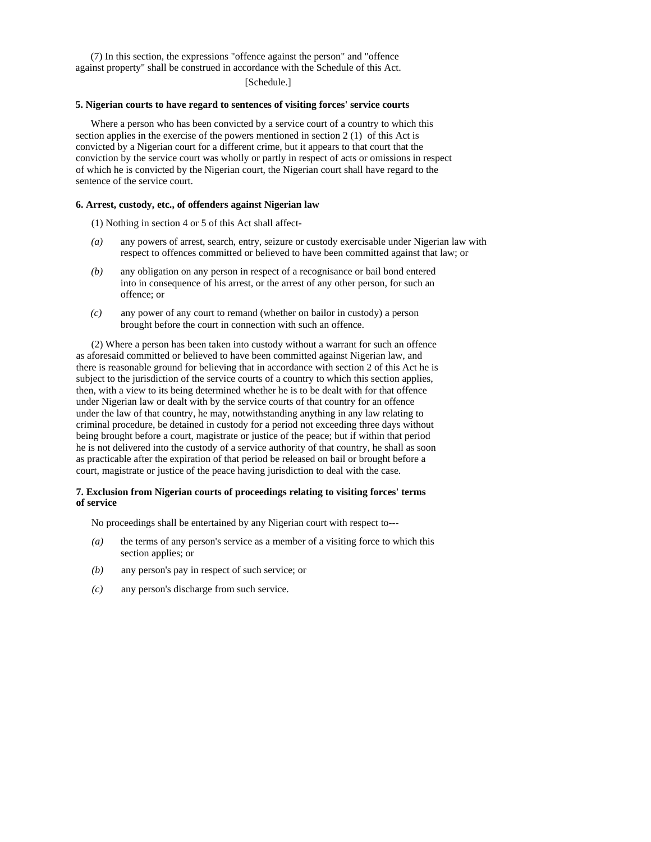(7) In this section, the expressions "offence against the person" and "offence against property" shall be construed in accordance with the Schedule of this Act.

[Schedule.]

#### **5. Nigerian courts to have regard to sentences of visiting forces' service courts**

Where a person who has been convicted by a service court of a country to which this section applies in the exercise of the powers mentioned in section 2 (1) of this Act is convicted by a Nigerian court for a different crime, but it appears to that court that the conviction by the service court was wholly or partly in respect of acts or omissions in respect of which he is convicted by the Nigerian court, the Nigerian court shall have regard to the sentence of the service court.

#### **6. Arrest, custody, etc., of offenders against Nigerian law**

(1) Nothing in section 4 or 5 of this Act shall affect-

- *(a)* any powers of arrest, search, entry, seizure or custody exercisable under Nigerian law with respect to offences committed or believed to have been committed against that law; or
- *(b)* any obligation on any person in respect of a recognisance or bail bond entered into in consequence of his arrest, or the arrest of any other person, for such an offence; or
- *(c)* any power of any court to remand (whether on bailor in custody) a person brought before the court in connection with such an offence.

(2) Where a person has been taken into custody without a warrant for such an offence as aforesaid committed or believed to have been committed against Nigerian law, and there is reasonable ground for believing that in accordance with section 2 of this Act he is subject to the jurisdiction of the service courts of a country to which this section applies, then, with a view to its being determined whether he is to be dealt with for that offence under Nigerian law or dealt with by the service courts of that country for an offence under the law of that country, he may, notwithstanding anything in any law relating to criminal procedure, be detained in custody for a period not exceeding three days without being brought before a court, magistrate or justice of the peace; but if within that period he is not delivered into the custody of a service authority of that country, he shall as soon as practicable after the expiration of that period be released on bail or brought before a court, magistrate or justice of the peace having jurisdiction to deal with the case.

### **7. Exclusion from Nigerian courts of proceedings relating to visiting forces' terms of service**

No proceedings shall be entertained by any Nigerian court with respect to---

- *(a)* the terms of any person's service as a member of a visiting force to which this section applies; or
- *(b)* any person's pay in respect of such service; or
- *(c)* any person's discharge from such service.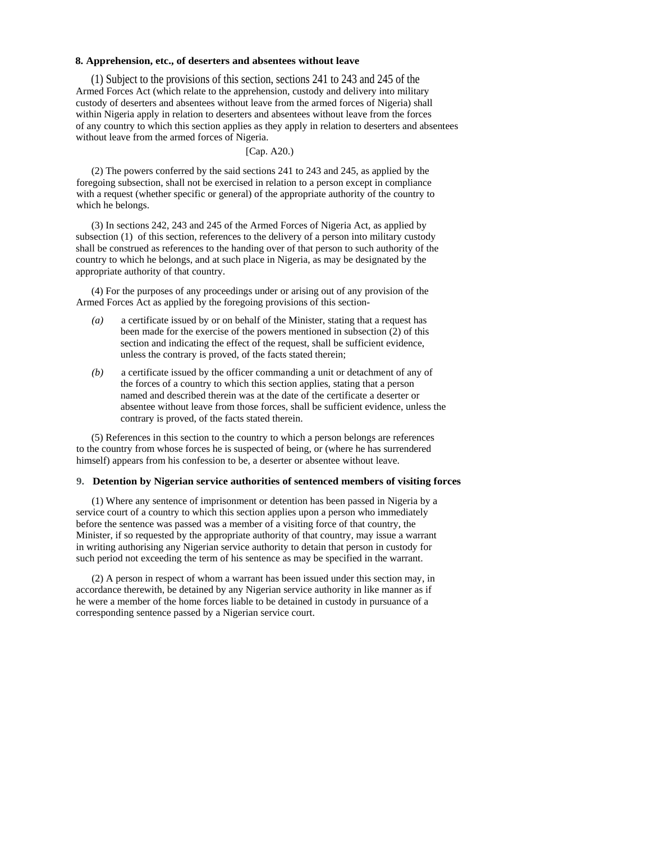#### **8. Apprehension, etc., of deserters and absentees without leave**

(1) Subject to the provisions of this section, sections 241 to 243 and 245 of the Armed Forces Act (which relate to the apprehension, custody and delivery into military custody of deserters and absentees without leave from the armed forces of Nigeria) shall within Nigeria apply in relation to deserters and absentees without leave from the forces of any country to which this section applies as they apply in relation to deserters and absentees without leave from the armed forces of Nigeria.

#### [Cap. A20.)

(2) The powers conferred by the said sections 241 to 243 and 245, as applied by the foregoing subsection, shall not be exercised in relation to a person except in compliance with a request (whether specific or general) of the appropriate authority of the country to which he belongs.

(3) In sections 242, 243 and 245 of the Armed Forces of Nigeria Act, as applied by subsection (1) of this section, references to the delivery of a person into military custody shall be construed as references to the handing over of that person to such authority of the country to which he belongs, and at such place in Nigeria, as may be designated by the appropriate authority of that country.

(4) For the purposes of any proceedings under or arising out of any provision of the Armed Forces Act as applied by the foregoing provisions of this section-

- *(a)* a certificate issued by or on behalf of the Minister, stating that a request has been made for the exercise of the powers mentioned in subsection (2) of this section and indicating the effect of the request, shall be sufficient evidence, unless the contrary is proved, of the facts stated therein;
- *(b)* a certificate issued by the officer commanding a unit or detachment of any of the forces of a country to which this section applies, stating that a person named and described therein was at the date of the certificate a deserter or absentee without leave from those forces, shall be sufficient evidence, unless the contrary is proved, of the facts stated therein.

(5) References in this section to the country to which a person belongs are references to the country from whose forces he is suspected of being, or (where he has surrendered himself) appears from his confession to be, a deserter or absentee without leave.

### **9. Detention by Nigerian service authorities of sentenced members of visiting forces**

(1) Where any sentence of imprisonment or detention has been passed in Nigeria by a service court of a country to which this section applies upon a person who immediately before the sentence was passed was a member of a visiting force of that country, the Minister, if so requested by the appropriate authority of that country, may issue a warrant in writing authorising any Nigerian service authority to detain that person in custody for such period not exceeding the term of his sentence as may be specified in the warrant.

(2) A person in respect of whom a warrant has been issued under this section may, in accordance therewith, be detained by any Nigerian service authority in like manner as if he were a member of the home forces liable to be detained in custody in pursuance of a corresponding sentence passed by a Nigerian service court.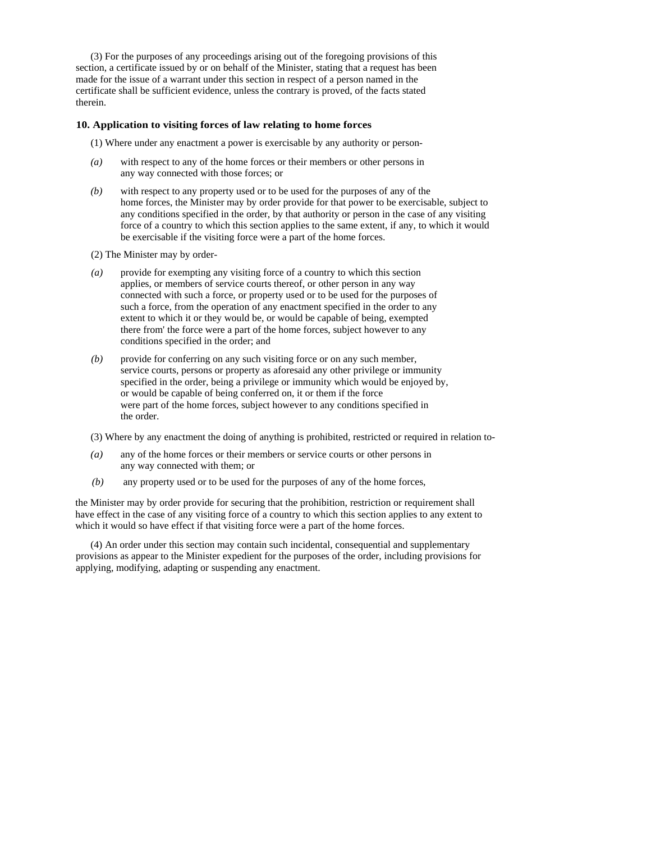(3) For the purposes of any proceedings arising out of the foregoing provisions of this section, a certificate issued by or on behalf of the Minister, stating that a request has been made for the issue of a warrant under this section in respect of a person named in the certificate shall be sufficient evidence, unless the contrary is proved, of the facts stated therein.

#### **10. Application to visiting forces of law relating to home forces**

(1) Where under any enactment a power is exercisable by any authority or person-

- *(a)* with respect to any of the home forces or their members or other persons in any way connected with those forces; or
- *(b)* with respect to any property used or to be used for the purposes of any of the home forces, the Minister may by order provide for that power to be exercisable, subject to any conditions specified in the order, by that authority or person in the case of any visiting force of a country to which this section applies to the same extent, if any, to which it would be exercisable if the visiting force were a part of the home forces.
- (2) The Minister may by order-
- *(a)* provide for exempting any visiting force of a country to which this section applies, or members of service courts thereof, or other person in any way connected with such a force, or property used or to be used for the purposes of such a force, from the operation of any enactment specified in the order to any extent to which it or they would be, or would be capable of being, exempted there from' the force were a part of the home forces, subject however to any conditions specified in the order; and
- *(b)* provide for conferring on any such visiting force or on any such member, service courts, persons or property as aforesaid any other privilege or immunity specified in the order, being a privilege or immunity which would be enjoyed by, or would be capable of being conferred on, it or them if the force were part of the home forces, subject however to any conditions specified in the order.
- (3) Where by any enactment the doing of anything is prohibited, restricted or required in relation to-
- *(a)* any of the home forces or their members or service courts or other persons in any way connected with them; or
- *(b)* any property used or to be used for the purposes of any of the home forces,

the Minister may by order provide for securing that the prohibition, restriction or requirement shall have effect in the case of any visiting force of a country to which this section applies to any extent to which it would so have effect if that visiting force were a part of the home forces.

(4) An order under this section may contain such incidental, consequential and supplementary provisions as appear to the Minister expedient for the purposes of the order, including provisions for applying, modifying, adapting or suspending any enactment.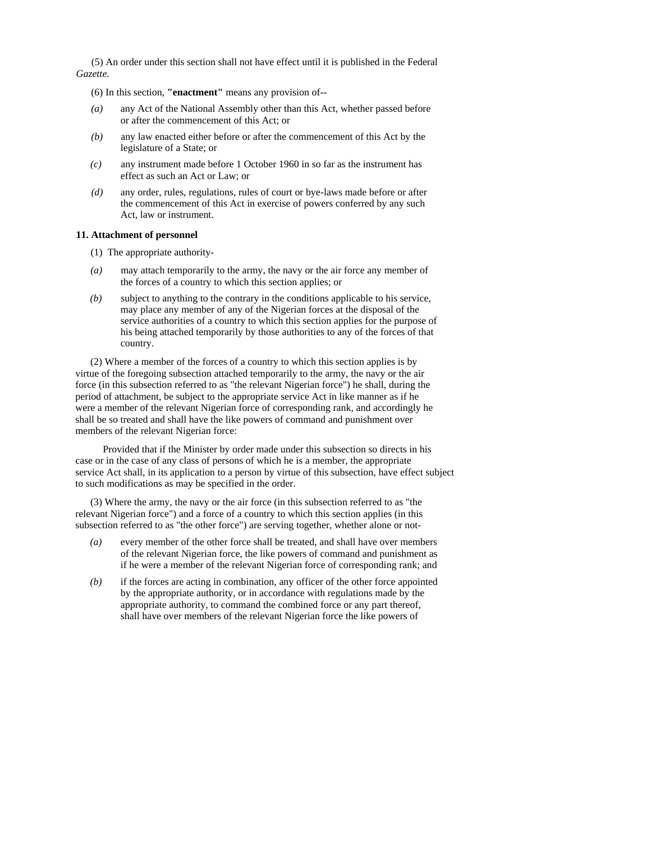(5) An order under this section shall not have effect until it is published in the Federal *Gazette.* 

(6) In this section, **"enactment"** means any provision of--

- *(a)* any Act of the National Assembly other than this Act, whether passed before or after the commencement of this Act; or
- *(b)* any law enacted either before or after the commencement of this Act by the legislature of a State; or
- *(c)* any instrument made before 1 October 1960 in so far as the instrument has effect as such an Act or Law; or
- *(d)* any order, rules, regulations, rules of court or bye-laws made before or after the commencement of this Act in exercise of powers conferred by any such Act, law or instrument.

#### **11. Attachment of personnel**

- (1) The appropriate authority-
- *(a)* may attach temporarily to the army, the navy or the air force any member of the forces of a country to which this section applies; or
- *(b)* subject to anything to the contrary in the conditions applicable to his service, may place any member of any of the Nigerian forces at the disposal of the service authorities of a country to which this section applies for the purpose of his being attached temporarily by those authorities to any of the forces of that country.

(2) Where a member of the forces of a country to which this section applies is by virtue of the foregoing subsection attached temporarily to the army, the navy or the air force (in this subsection referred to as "the relevant Nigerian force") he shall, during the period of attachment, be subject to the appropriate service Act in like manner as if he were a member of the relevant Nigerian force of corresponding rank, and accordingly he shall be so treated and shall have the like powers of command and punishment over members of the relevant Nigerian force:

Provided that if the Minister by order made under this subsection so directs in his case or in the case of any class of persons of which he is a member, the appropriate service Act shall, in its application to a person by virtue of this subsection, have effect subject to such modifications as may be specified in the order.

(3) Where the army, the navy or the air force (in this subsection referred to as "the relevant Nigerian force") and a force of a country to which this section applies (in this subsection referred to as "the other force") are serving together, whether alone or not-

- *(a)* every member of the other force shall be treated, and shall have over members of the relevant Nigerian force, the like powers of command and punishment as if he were a member of the relevant Nigerian force of corresponding rank; and
- *(b)* if the forces are acting in combination, any officer of the other force appointed by the appropriate authority, or in accordance with regulations made by the appropriate authority, to command the combined force or any part thereof, shall have over members of the relevant Nigerian force the like powers of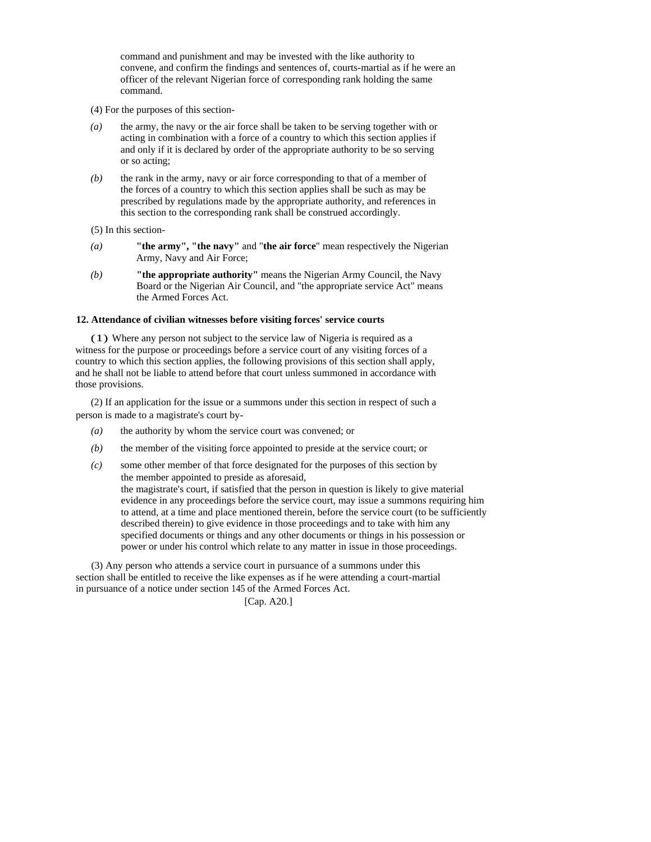command and punishment and may be invested with the like authority to convene, and confirm the findings and sentences of, courts-martial as if he were an officer of the relevant Nigerian force of corresponding rank holding the same command.

(4) For the purposes of this section-

- *(a)* the army, the navy or the air force shall be taken to be serving together with or acting in combination with a force of a country to which this section applies if and only if it is declared by order of the appropriate authority to be so serving or so acting;
- *(b)* the rank in the army, navy or air force corresponding to that of a member of the forces of a country to which this section applies shall be such as may be prescribed by regulations made by the appropriate authority, and references in this section to the corresponding rank shall be construed accordingly.

(5) In this section-

- *(a)* **"the army", "the navy"** and "**the air force**" mean respectively the Nigerian Army, Navy and Air Force;
- *(b)* **"the appropriate authority"** means the Nigerian Army Council, the Navy Board or the Nigerian Air Council, and "the appropriate service Act" means the Armed Forces Act.

#### **12. Attendance of civilian witnesses before visiting forces' service courts**

(1) Where any person not subject to the service law of Nigeria is required as a witness for the purpose or proceedings before a service court of any visiting forces of a country to which this section applies, the following provisions of this section shall apply, and he shall not be liable to attend before that court unless summoned in accordance with those provisions.

(2) If an application for the issue or a summons under this section in respect of such a person is made to a magistrate's court by-

- *(a)* the authority by whom the service court was convened; or
- *(b)* the member of the visiting force appointed to preside at the service court; or
- *(c)* some other member of that force designated for the purposes of this section by the member appointed to preside as aforesaid, the magistrate's court, if satisfied that the person in question is likely to give material evidence in any proceedings before the service court, may issue a summons requiring him to attend, at a time and place mentioned therein, before the service court (to be sufficiently described therein) to give evidence in those proceedings and to take with him any specified documents or things and any other documents or things in his possession or power or under his control which relate to any matter in issue in those proceedings.

(3) Any person who attends a service court in pursuance of a summons under this section shall be entitled to receive the like expenses as if he were attending a court-martial in pursuance of a notice under section 145 of the Armed Forces Act.

[Cap. A20.]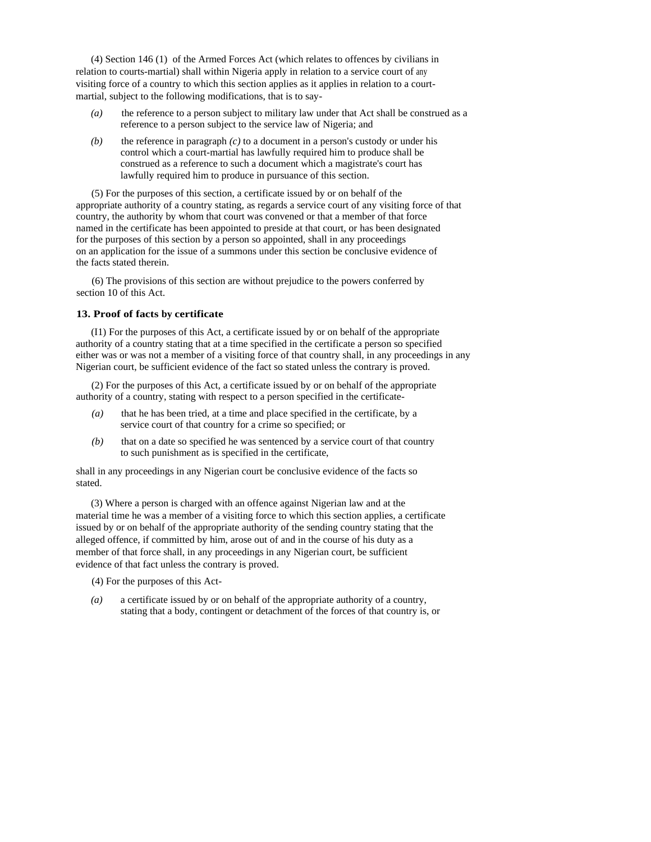(4) Section 146 (1) of the Armed Forces Act (which relates to offences by civilians in relation to courts-martial) shall within Nigeria apply in relation to a service court of any visiting force of a country to which this section applies as it applies in relation to a courtmartial, subject to the following modifications, that is to say-

- *(a)* the reference to a person subject to military law under that Act shall be construed as a reference to a person subject to the service law of Nigeria; and
- *(b)* the reference in paragraph *(c)* to a document in a person's custody or under his control which a court-martial has lawfully required him to produce shall be construed as a reference to such a document which a magistrate's court has lawfully required him to produce in pursuance of this section.

(5) For the purposes of this section, a certificate issued by or on behalf of the appropriate authority of a country stating, as regards a service court of any visiting force of that country, the authority by whom that court was convened or that a member of that force named in the certificate has been appointed to preside at that court, or has been designated for the purposes of this section by a person so appointed, shall in any proceedings on an application for the issue of a summons under this section be conclusive evidence of the facts stated therein.

(6) The provisions of this section are without prejudice to the powers conferred by section 10 of this Act.

#### **13. Proof of facts by certificate**

(I1) For the purposes of this Act, a certificate issued by or on behalf of the appropriate authority of a country stating that at a time specified in the certificate a person so specified either was or was not a member of a visiting force of that country shall, in any proceedings in any Nigerian court, be sufficient evidence of the fact so stated unless the contrary is proved.

(2) For the purposes of this Act, a certificate issued by or on behalf of the appropriate authority of a country, stating with respect to a person specified in the certificate-

- *(a)* that he has been tried, at a time and place specified in the certificate, by a service court of that country for a crime so specified; or
- *(b)* that on a date so specified he was sentenced by a service court of that country to such punishment as is specified in the certificate,

shall in any proceedings in any Nigerian court be conclusive evidence of the facts so stated.

(3) Where a person is charged with an offence against Nigerian law and at the material time he was a member of a visiting force to which this section applies, a certificate issued by or on behalf of the appropriate authority of the sending country stating that the alleged offence, if committed by him, arose out of and in the course of his duty as a member of that force shall, in any proceedings in any Nigerian court, be sufficient evidence of that fact unless the contrary is proved.

(4) For the purposes of this Act-

*(a)* a certificate issued by or on behalf of the appropriate authority of a country, stating that a body, contingent or detachment of the forces of that country is, or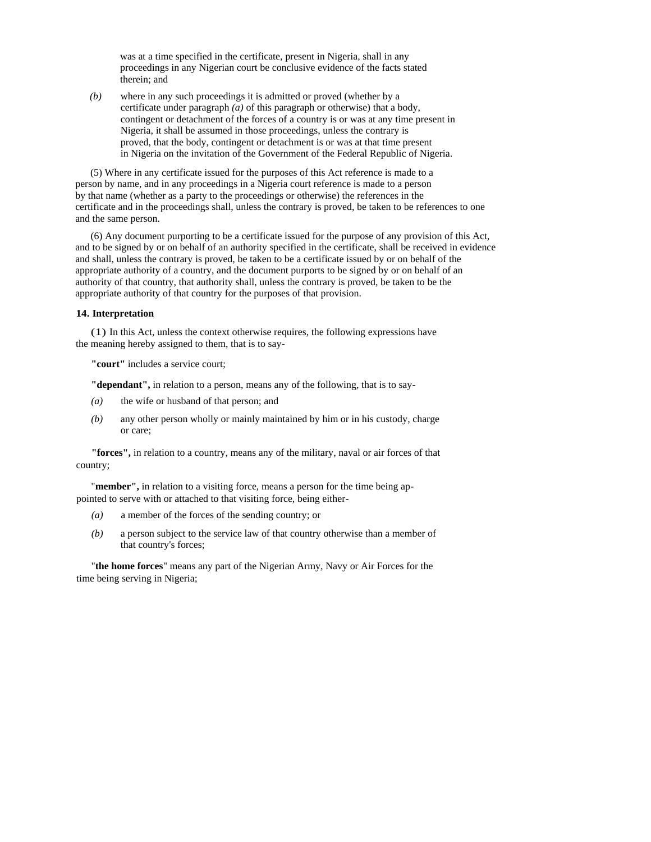was at a time specified in the certificate, present in Nigeria, shall in any proceedings in any Nigerian court be conclusive evidence of the facts stated therein; and

*(b)* where in any such proceedings it is admitted or proved (whether by a certificate under paragraph  $(a)$  of this paragraph or otherwise) that a body, contingent or detachment of the forces of a country is or was at any time present in Nigeria, it shall be assumed in those proceedings, unless the contrary is proved, that the body, contingent or detachment is or was at that time present in Nigeria on the invitation of the Government of the Federal Republic of Nigeria.

(5) Where in any certificate issued for the purposes of this Act reference is made to a person by name, and in any proceedings in a Nigeria court reference is made to a person by that name (whether as a party to the proceedings or otherwise) the references in the certificate and in the proceedings shall, unless the contrary is proved, be taken to be references to one and the same person.

(6) Any document purporting to be a certificate issued for the purpose of any provision of this Act, and to be signed by or on behalf of an authority specified in the certificate, shall be received in evidence and shall, unless the contrary is proved, be taken to be a certificate issued by or on behalf of the appropriate authority of a country, and the document purports to be signed by or on behalf of an authority of that country, that authority shall, unless the contrary is proved, be taken to be the appropriate authority of that country for the purposes of that provision.

#### **14. Interpretation**

(1) In this Act, unless the context otherwise requires, the following expressions have the meaning hereby assigned to them, that is to say-

**"court"** includes a service court;

**"dependant",** in relation to a person, means any of the following, that is to say-

- *(a)* the wife or husband of that person; and
- *(b)* any other person wholly or mainly maintained by him or in his custody, charge or care;

**"forces",** in relation to a country, means any of the military, naval or air forces of that country;

"**member",** in relation to a visiting force, means a person for the time being appointed to serve with or attached to that visiting force, being either-

- *(a)* a member of the forces of the sending country; or
- *(b)* a person subject to the service law of that country otherwise than a member of that country's forces;

"**the home forces**" means any part of the Nigerian Army, Navy or Air Forces for the time being serving in Nigeria;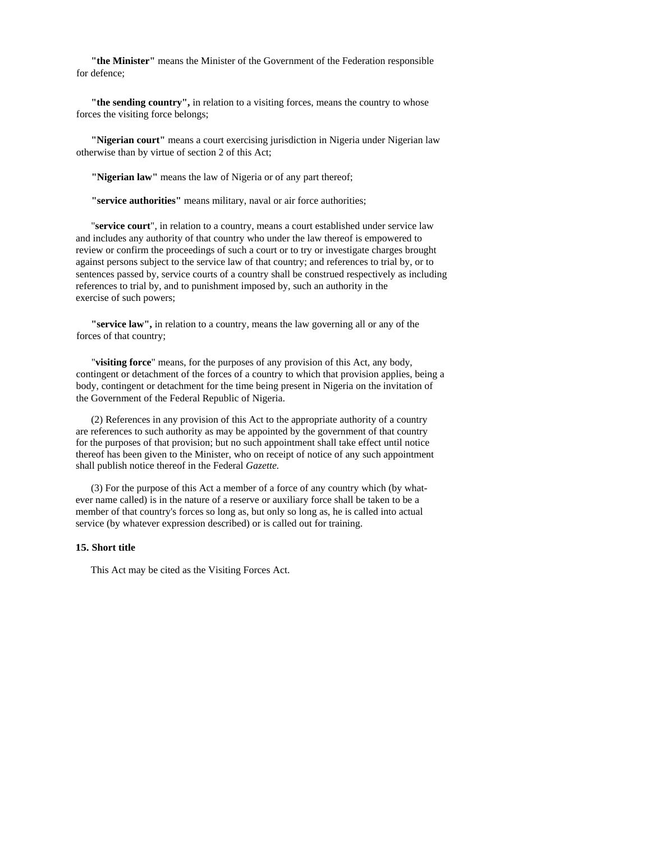**"the Minister"** means the Minister of the Government of the Federation responsible for defence;

**"the sending country",** in relation to a visiting forces, means the country to whose forces the visiting force belongs;

**"Nigerian court"** means a court exercising jurisdiction in Nigeria under Nigerian law otherwise than by virtue of section 2 of this Act;

**"Nigerian law"** means the law of Nigeria or of any part thereof;

**"service authorities"** means military, naval or air force authorities;

"**service court**", in relation to a country, means a court established under service law and includes any authority of that country who under the law thereof is empowered to review or confirm the proceedings of such a court or to try or investigate charges brought against persons subject to the service law of that country; and references to trial by, or to sentences passed by, service courts of a country shall be construed respectively as including references to trial by, and to punishment imposed by, such an authority in the exercise of such powers;

**"service law",** in relation to a country, means the law governing all or any of the forces of that country;

"**visiting force**" means, for the purposes of any provision of this Act, any body, contingent or detachment of the forces of a country to which that provision applies, being a body, contingent or detachment for the time being present in Nigeria on the invitation of the Government of the Federal Republic of Nigeria.

(2) References in any provision of this Act to the appropriate authority of a country are references to such authority as may be appointed by the government of that country for the purposes of that provision; but no such appointment shall take effect until notice thereof has been given to the Minister, who on receipt of notice of any such appointment shall publish notice thereof in the Federal *Gazette.* 

(3) For the purpose of this Act a member of a force of any country which (by whatever name called) is in the nature of a reserve or auxiliary force shall be taken to be a member of that country's forces so long as, but only so long as, he is called into actual service (by whatever expression described) or is called out for training.

# **15. Short title**

This Act may be cited as the Visiting Forces Act.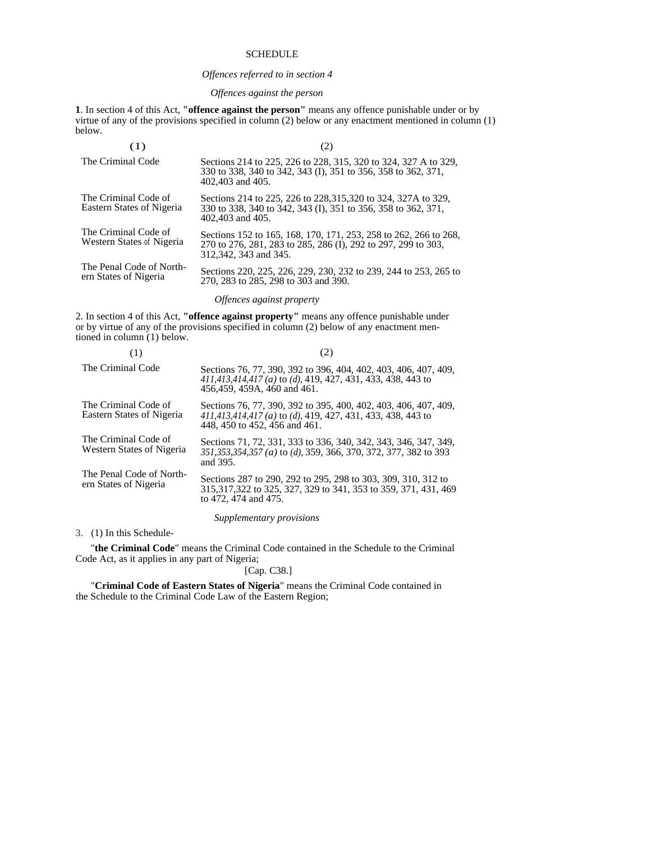### **SCHEDULE**

#### *Offences referred to in section 4*

## *Offences against the person*

**1**. In section 4 of this Act, **"offence against the person"** means any offence punishable under or by virtue of any of the provisions specified in column (2) below or any enactment mentioned in column (1) below.

| (1)                                               |                                                                                                                                                            |
|---------------------------------------------------|------------------------------------------------------------------------------------------------------------------------------------------------------------|
| The Criminal Code                                 | Sections 214 to 225, 226 to 228, 315, 320 to 324, 327 A to 329,<br>330 to 338, 340 to 342, 343 (I), 351 to 356, 358 to 362, 371,<br>402,403 and 405.       |
| The Criminal Code of<br>Eastern States of Nigeria | Sections 214 to 225, 226 to 228, 315, 320 to 324, 327A to 329,<br>330 to 338, 340 to 342, 343 (I), 351 to 356, 358 to 362, 371,<br>402,403 and 405.        |
| The Criminal Code of<br>Western States of Nigeria | Sections 152 to 165, 168, 170, 171, 253, 258 to 262, 266 to 268,<br>270 to 276, 281, 283 to 285, 286 (I), 292 to 297, 299 to 303,<br>312,342, 343 and 345. |
| The Penal Code of North-<br>ern States of Nigeria | Sections 220, 225, 226, 229, 230, 232 to 239, 244 to 253, 265 to<br>270, 283 to 285, 298 to 303 and 390.                                                   |

### *Offences against property*

2. In section 4 of this Act, **"offence against property"** means any offence punishable under or by virtue of any of the provisions specified in column (2) below of any enactment mentioned in column (1) below.

| The Criminal Code                                 | Sections 76, 77, 390, 392 to 396, 404, 402, 403, 406, 407, 409,<br>$411,413,414,417$ (a) to (d), 419, 427, 431, 433, 438, 443 to<br>456,459, 459A, 460 and 461. |  |
|---------------------------------------------------|-----------------------------------------------------------------------------------------------------------------------------------------------------------------|--|
| The Criminal Code of<br>Eastern States of Nigeria | Sections 76, 77, 390, 392 to 395, 400, 402, 403, 406, 407, 409,<br>411,413,414,417 (a) to (d), 419, 427, 431, 433, 438, 443 to<br>448, 450 to 452, 456 and 461. |  |
| The Criminal Code of<br>Western States of Nigeria | Sections 71, 72, 331, 333 to 336, 340, 342, 343, 346, 347, 349,<br>351, 353, 354, 357 (a) to (d), 359, 366, 370, 372, 377, 382 to 393<br>and 395.               |  |
| The Penal Code of North-<br>ern States of Nigeria | Sections 287 to 290, 292 to 295, 298 to 303, 309, 310, 312 to<br>315, 317, 322 to 325, 327, 329 to 341, 353 to 359, 371, 431, 469<br>to 472, 474 and 475.       |  |
| Supplementary provisions                          |                                                                                                                                                                 |  |

3. (1) In this Schedule-

"**the Criminal Code**" means the Criminal Code contained in the Schedule to the Criminal Code Act, as it applies in any part of Nigeria;

[Cap. C38.]

"**Criminal Code of Eastern States of Nigeria**" means the Criminal Code contained in the Schedule to the Criminal Code Law of the Eastern Region;